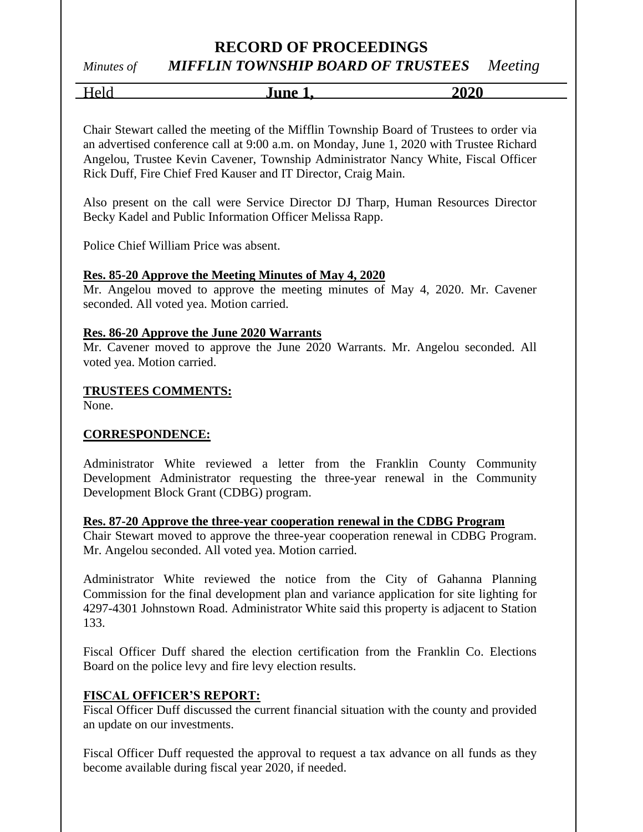# *Minutes of MIFFLIN TOWNSHIP BOARD OF TRUSTEES Meeting*

| lune<br>.,<br>. . | 202 <sup>c</sup><br>' 1 J<br>. v |
|-------------------|----------------------------------|
|                   |                                  |

Chair Stewart called the meeting of the Mifflin Township Board of Trustees to order via an advertised conference call at 9:00 a.m. on Monday, June 1, 2020 with Trustee Richard Angelou, Trustee Kevin Cavener, Township Administrator Nancy White, Fiscal Officer Rick Duff, Fire Chief Fred Kauser and IT Director, Craig Main.

Also present on the call were Service Director DJ Tharp, Human Resources Director Becky Kadel and Public Information Officer Melissa Rapp.

Police Chief William Price was absent.

#### **Res. 85-20 Approve the Meeting Minutes of May 4, 2020**

Mr. Angelou moved to approve the meeting minutes of May 4, 2020. Mr. Cavener seconded. All voted yea. Motion carried.

#### **Res. 86-20 Approve the June 2020 Warrants**

Mr. Cavener moved to approve the June 2020 Warrants. Mr. Angelou seconded. All voted yea. Motion carried.

#### **TRUSTEES COMMENTS:**

None.

#### **CORRESPONDENCE:**

Administrator White reviewed a letter from the Franklin County Community Development Administrator requesting the three-year renewal in the Community Development Block Grant (CDBG) program.

#### **Res. 87-20 Approve the three-year cooperation renewal in the CDBG Program**

Chair Stewart moved to approve the three-year cooperation renewal in CDBG Program. Mr. Angelou seconded. All voted yea. Motion carried.

Administrator White reviewed the notice from the City of Gahanna Planning Commission for the final development plan and variance application for site lighting for 4297-4301 Johnstown Road. Administrator White said this property is adjacent to Station 133.

Fiscal Officer Duff shared the election certification from the Franklin Co. Elections Board on the police levy and fire levy election results.

#### **FISCAL OFFICER'S REPORT:**

Fiscal Officer Duff discussed the current financial situation with the county and provided an update on our investments.

Fiscal Officer Duff requested the approval to request a tax advance on all funds as they become available during fiscal year 2020, if needed.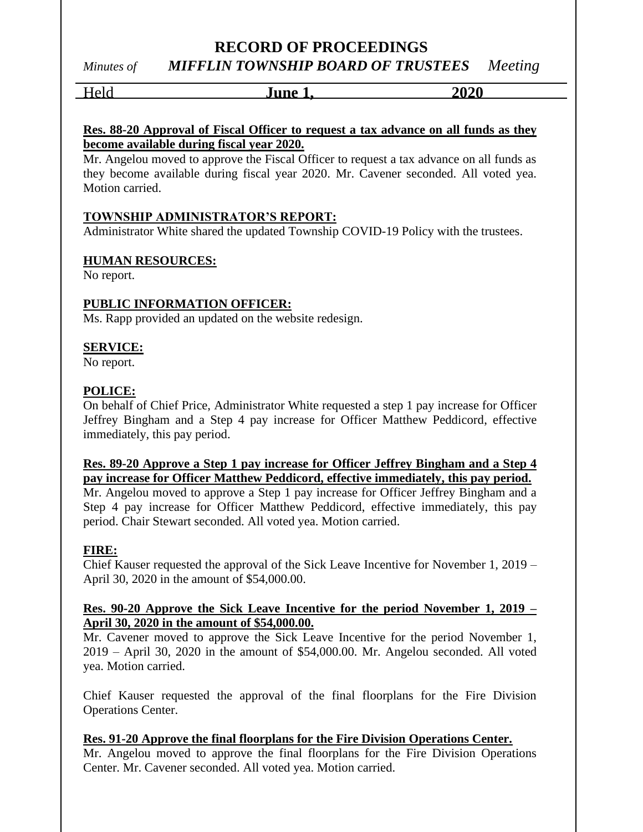# *Minutes of MIFFLIN TOWNSHIP BOARD OF TRUSTEES Meeting*

Held **June 1, 2020**

#### **Res. 88-20 Approval of Fiscal Officer to request a tax advance on all funds as they become available during fiscal year 2020.**

Mr. Angelou moved to approve the Fiscal Officer to request a tax advance on all funds as they become available during fiscal year 2020. Mr. Cavener seconded. All voted yea. Motion carried.

## **TOWNSHIP ADMINISTRATOR'S REPORT:**

Administrator White shared the updated Township COVID-19 Policy with the trustees.

## **HUMAN RESOURCES:**

No report.

## **PUBLIC INFORMATION OFFICER:**

Ms. Rapp provided an updated on the website redesign.

## **SERVICE:**

No report.

## **POLICE:**

On behalf of Chief Price, Administrator White requested a step 1 pay increase for Officer Jeffrey Bingham and a Step 4 pay increase for Officer Matthew Peddicord, effective immediately, this pay period.

#### **Res. 89-20 Approve a Step 1 pay increase for Officer Jeffrey Bingham and a Step 4 pay increase for Officer Matthew Peddicord, effective immediately, this pay period.**

Mr. Angelou moved to approve a Step 1 pay increase for Officer Jeffrey Bingham and a Step 4 pay increase for Officer Matthew Peddicord, effective immediately, this pay period. Chair Stewart seconded. All voted yea. Motion carried.

## **FIRE:**

Chief Kauser requested the approval of the Sick Leave Incentive for November 1, 2019 – April 30, 2020 in the amount of \$54,000.00.

#### **Res. 90-20 Approve the Sick Leave Incentive for the period November 1, 2019 – April 30, 2020 in the amount of \$54,000.00.**

Mr. Cavener moved to approve the Sick Leave Incentive for the period November 1, 2019 – April 30, 2020 in the amount of \$54,000.00. Mr. Angelou seconded. All voted yea. Motion carried.

Chief Kauser requested the approval of the final floorplans for the Fire Division Operations Center.

**Res. 91-20 Approve the final floorplans for the Fire Division Operations Center.** Mr. Angelou moved to approve the final floorplans for the Fire Division Operations Center. Mr. Cavener seconded. All voted yea. Motion carried.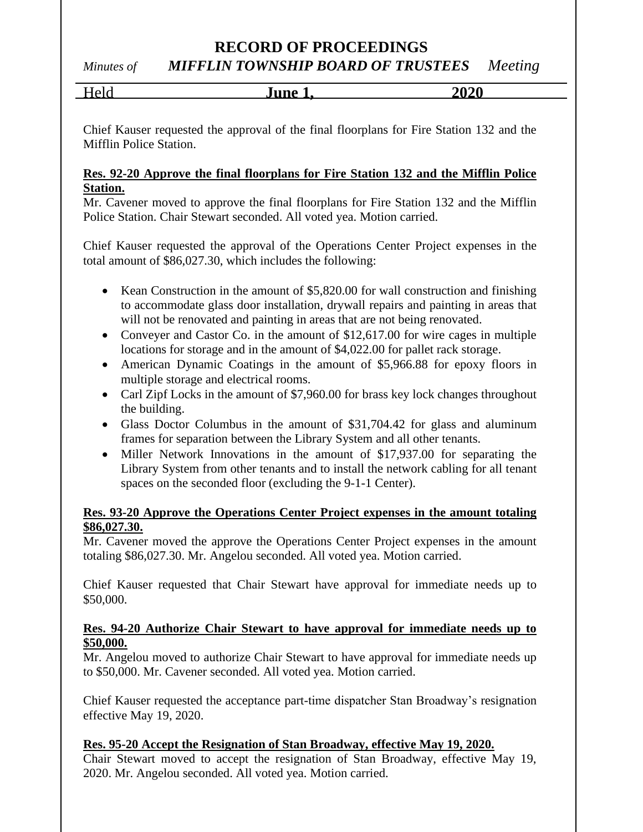*Minutes of MIFFLIN TOWNSHIP BOARD OF TRUSTEES Meeting*

| <b>TINA</b> | 2020 |
|-------------|------|
|             |      |

Chief Kauser requested the approval of the final floorplans for Fire Station 132 and the Mifflin Police Station.

#### **Res. 92-20 Approve the final floorplans for Fire Station 132 and the Mifflin Police Station.**

Mr. Cavener moved to approve the final floorplans for Fire Station 132 and the Mifflin Police Station. Chair Stewart seconded. All voted yea. Motion carried.

Chief Kauser requested the approval of the Operations Center Project expenses in the total amount of \$86,027.30, which includes the following:

- Kean Construction in the amount of \$5,820.00 for wall construction and finishing to accommodate glass door installation, drywall repairs and painting in areas that will not be renovated and painting in areas that are not being renovated.
- Conveyer and Castor Co. in the amount of \$12,617.00 for wire cages in multiple locations for storage and in the amount of \$4,022.00 for pallet rack storage.
- American Dynamic Coatings in the amount of \$5,966.88 for epoxy floors in multiple storage and electrical rooms.
- Carl Zipf Locks in the amount of \$7,960.00 for brass key lock changes throughout the building.
- Glass Doctor Columbus in the amount of \$31,704.42 for glass and aluminum frames for separation between the Library System and all other tenants.
- Miller Network Innovations in the amount of \$17,937.00 for separating the Library System from other tenants and to install the network cabling for all tenant spaces on the seconded floor (excluding the 9-1-1 Center).

#### **Res. 93-20 Approve the Operations Center Project expenses in the amount totaling \$86,027.30.**

Mr. Cavener moved the approve the Operations Center Project expenses in the amount totaling \$86,027.30. Mr. Angelou seconded. All voted yea. Motion carried.

Chief Kauser requested that Chair Stewart have approval for immediate needs up to \$50,000.

#### **Res. 94-20 Authorize Chair Stewart to have approval for immediate needs up to \$50,000.**

Mr. Angelou moved to authorize Chair Stewart to have approval for immediate needs up to \$50,000. Mr. Cavener seconded. All voted yea. Motion carried.

Chief Kauser requested the acceptance part-time dispatcher Stan Broadway's resignation effective May 19, 2020.

## **Res. 95-20 Accept the Resignation of Stan Broadway, effective May 19, 2020.**

Chair Stewart moved to accept the resignation of Stan Broadway, effective May 19, 2020. Mr. Angelou seconded. All voted yea. Motion carried.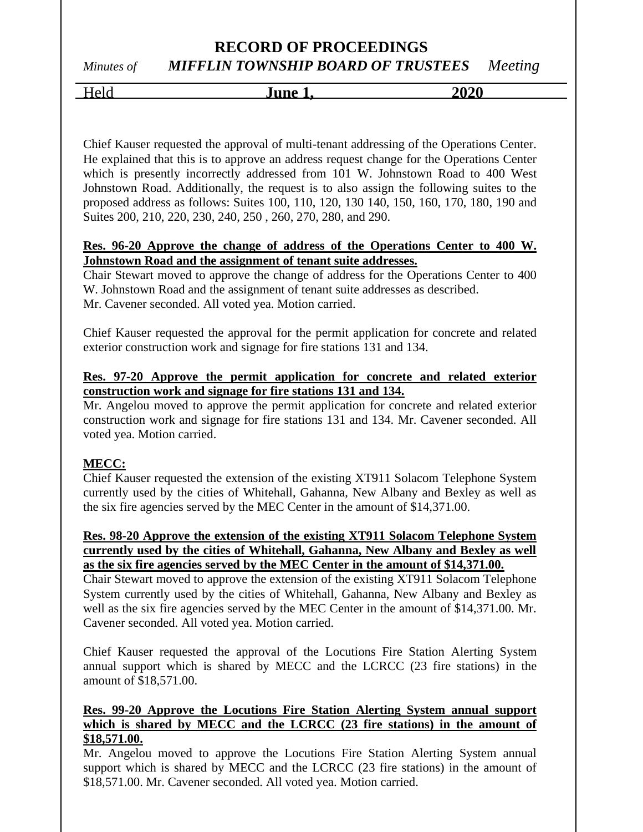*Minutes of MIFFLIN TOWNSHIP BOARD OF TRUSTEES Meeting*

Held **June 1, 2020**

Chief Kauser requested the approval of multi-tenant addressing of the Operations Center. He explained that this is to approve an address request change for the Operations Center which is presently incorrectly addressed from 101 W. Johnstown Road to 400 West Johnstown Road. Additionally, the request is to also assign the following suites to the proposed address as follows: Suites 100, 110, 120, 130 140, 150, 160, 170, 180, 190 and Suites 200, 210, 220, 230, 240, 250 , 260, 270, 280, and 290.

#### **Res. 96-20 Approve the change of address of the Operations Center to 400 W. Johnstown Road and the assignment of tenant suite addresses.**

Chair Stewart moved to approve the change of address for the Operations Center to 400 W. Johnstown Road and the assignment of tenant suite addresses as described. Mr. Cavener seconded. All voted yea. Motion carried.

Chief Kauser requested the approval for the permit application for concrete and related exterior construction work and signage for fire stations 131 and 134.

#### **Res. 97-20 Approve the permit application for concrete and related exterior construction work and signage for fire stations 131 and 134.**

Mr. Angelou moved to approve the permit application for concrete and related exterior construction work and signage for fire stations 131 and 134. Mr. Cavener seconded. All voted yea. Motion carried.

#### **MECC:**

Chief Kauser requested the extension of the existing XT911 Solacom Telephone System currently used by the cities of Whitehall, Gahanna, New Albany and Bexley as well as the six fire agencies served by the MEC Center in the amount of \$14,371.00.

#### **Res. 98-20 Approve the extension of the existing XT911 Solacom Telephone System currently used by the cities of Whitehall, Gahanna, New Albany and Bexley as well as the six fire agencies served by the MEC Center in the amount of \$14,371.00.**

Chair Stewart moved to approve the extension of the existing XT911 Solacom Telephone System currently used by the cities of Whitehall, Gahanna, New Albany and Bexley as well as the six fire agencies served by the MEC Center in the amount of \$14,371.00. Mr. Cavener seconded. All voted yea. Motion carried.

Chief Kauser requested the approval of the Locutions Fire Station Alerting System annual support which is shared by MECC and the LCRCC (23 fire stations) in the amount of \$18,571.00.

#### **Res. 99-20 Approve the Locutions Fire Station Alerting System annual support which is shared by MECC and the LCRCC (23 fire stations) in the amount of \$18,571.00.**

Mr. Angelou moved to approve the Locutions Fire Station Alerting System annual support which is shared by MECC and the LCRCC (23 fire stations) in the amount of \$18,571.00. Mr. Cavener seconded. All voted yea. Motion carried.